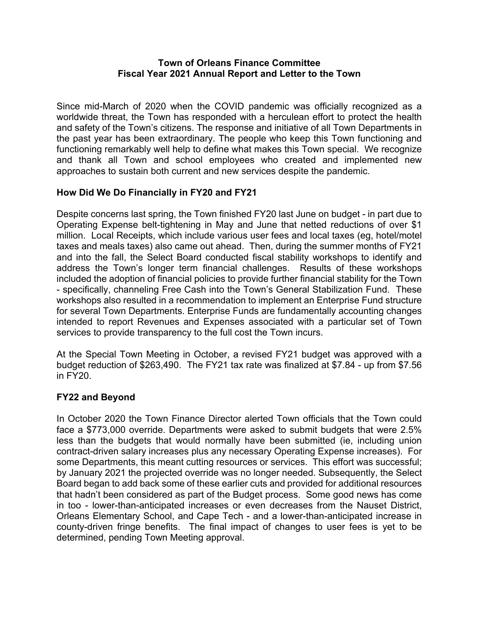## **Town of Orleans Finance Committee Fiscal Year 2021 Annual Report and Letter to the Town**

Since mid-March of 2020 when the COVID pandemic was officially recognized as a worldwide threat, the Town has responded with a herculean effort to protect the health and safety of the Town's citizens. The response and initiative of all Town Departments in the past year has been extraordinary. The people who keep this Town functioning and functioning remarkably well help to define what makes this Town special. We recognize and thank all Town and school employees who created and implemented new approaches to sustain both current and new services despite the pandemic.

# **How Did We Do Financially in FY20 and FY21**

Despite concerns last spring, the Town finished FY20 last June on budget - in part due to Operating Expense belt-tightening in May and June that netted reductions of over \$1 million. Local Receipts, which include various user fees and local taxes (eg, hotel/motel taxes and meals taxes) also came out ahead. Then, during the summer months of FY21 and into the fall, the Select Board conducted fiscal stability workshops to identify and address the Town's longer term financial challenges. Results of these workshops included the adoption of financial policies to provide further financial stability for the Town - specifically, channeling Free Cash into the Town's General Stabilization Fund. These workshops also resulted in a recommendation to implement an Enterprise Fund structure for several Town Departments. Enterprise Funds are fundamentally accounting changes intended to report Revenues and Expenses associated with a particular set of Town services to provide transparency to the full cost the Town incurs.

At the Special Town Meeting in October, a revised FY21 budget was approved with a budget reduction of \$263,490. The FY21 tax rate was finalized at \$7.84 - up from \$7.56 in FY20.

# **FY22 and Beyond**

In October 2020 the Town Finance Director alerted Town officials that the Town could face a \$773,000 override. Departments were asked to submit budgets that were 2.5% less than the budgets that would normally have been submitted (ie, including union contract-driven salary increases plus any necessary Operating Expense increases). For some Departments, this meant cutting resources or services. This effort was successful; by January 2021 the projected override was no longer needed. Subsequently, the Select Board began to add back some of these earlier cuts and provided for additional resources that hadn't been considered as part of the Budget process. Some good news has come in too - lower-than-anticipated increases or even decreases from the Nauset District, Orleans Elementary School, and Cape Tech - and a lower-than-anticipated increase in county-driven fringe benefits. The final impact of changes to user fees is yet to be determined, pending Town Meeting approval.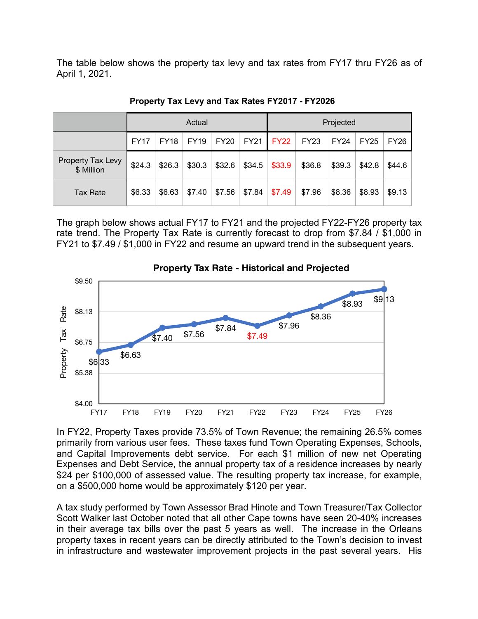The table below shows the property tax levy and tax rates from FY17 thru FY26 as of April 1, 2021.

|                                 | Actual      |             |             |             |             | Projected   |             |             |             |        |
|---------------------------------|-------------|-------------|-------------|-------------|-------------|-------------|-------------|-------------|-------------|--------|
|                                 | <b>FY17</b> | <b>FY18</b> | <b>FY19</b> | <b>FY20</b> | <b>FY21</b> | <b>FY22</b> | <b>FY23</b> | <b>FY24</b> | <b>FY25</b> | FY26   |
| Property Tax Levy<br>\$ Million | \$24.3      | \$26.3      | \$30.3      | \$32.6      | \$34.5      | \$33.9      | \$36.8      | \$39.3      | \$42.8      | \$44.6 |
| <b>Tax Rate</b>                 | \$6.33      | \$6.63      | \$7.40      | \$7.56      | \$7.84      | \$7.49      | \$7.96      | \$8.36      | \$8.93      | \$9.13 |

**Property Tax Levy and Tax Rates FY2017 - FY2026**

The graph below shows actual FY17 to FY21 and the projected FY22-FY26 property tax rate trend. The Property Tax Rate is currently forecast to drop from \$7.84 / \$1,000 in FY21 to \$7.49 / \$1,000 in FY22 and resume an upward trend in the subsequent years.



In FY22, Property Taxes provide 73.5% of Town Revenue; the remaining 26.5% comes primarily from various user fees. These taxes fund Town Operating Expenses, Schools, and Capital Improvements debt service. For each \$1 million of new net Operating Expenses and Debt Service, the annual property tax of a residence increases by nearly \$24 per \$100,000 of assessed value. The resulting property tax increase, for example, on a \$500,000 home would be approximately \$120 per year.

A tax study performed by Town Assessor Brad Hinote and Town Treasurer/Tax Collector Scott Walker last October noted that all other Cape towns have seen 20-40% increases in their average tax bills over the past 5 years as well. The increase in the Orleans property taxes in recent years can be directly attributed to the Town's decision to invest in infrastructure and wastewater improvement projects in the past several years. His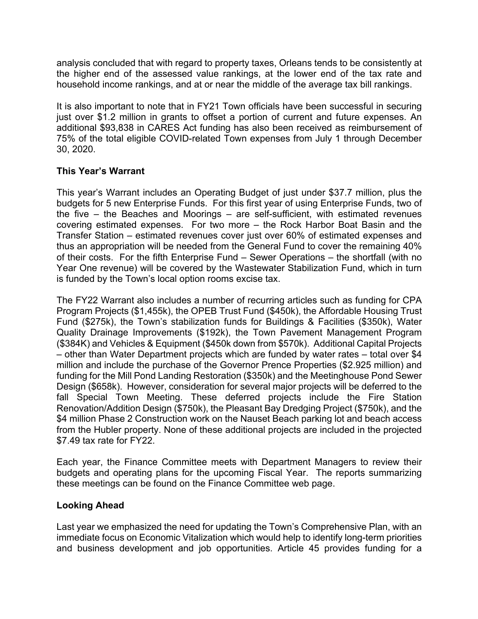analysis concluded that with regard to property taxes, Orleans tends to be consistently at the higher end of the assessed value rankings, at the lower end of the tax rate and household income rankings, and at or near the middle of the average tax bill rankings.

It is also important to note that in FY21 Town officials have been successful in securing just over \$1.2 million in grants to offset a portion of current and future expenses. An additional \$93,838 in CARES Act funding has also been received as reimbursement of 75% of the total eligible COVID-related Town expenses from July 1 through December 30, 2020.

# **This Year's Warrant**

This year's Warrant includes an Operating Budget of just under \$37.7 million, plus the budgets for 5 new Enterprise Funds. For this first year of using Enterprise Funds, two of the five – the Beaches and Moorings – are self-sufficient, with estimated revenues covering estimated expenses. For two more – the Rock Harbor Boat Basin and the Transfer Station – estimated revenues cover just over 60% of estimated expenses and thus an appropriation will be needed from the General Fund to cover the remaining 40% of their costs. For the fifth Enterprise Fund – Sewer Operations – the shortfall (with no Year One revenue) will be covered by the Wastewater Stabilization Fund, which in turn is funded by the Town's local option rooms excise tax.

The FY22 Warrant also includes a number of recurring articles such as funding for CPA Program Projects (\$1,455k), the OPEB Trust Fund (\$450k), the Affordable Housing Trust Fund (\$275k), the Town's stabilization funds for Buildings & Facilities (\$350k), Water Quality Drainage Improvements (\$192k), the Town Pavement Management Program (\$384K) and Vehicles & Equipment (\$450k down from \$570k). Additional Capital Projects – other than Water Department projects which are funded by water rates – total over \$4 million and include the purchase of the Governor Prence Properties (\$2.925 million) and funding for the Mill Pond Landing Restoration (\$350k) and the Meetinghouse Pond Sewer Design (\$658k). However, consideration for several major projects will be deferred to the fall Special Town Meeting. These deferred projects include the Fire Station Renovation/Addition Design (\$750k), the Pleasant Bay Dredging Project (\$750k), and the \$4 million Phase 2 Construction work on the Nauset Beach parking lot and beach access from the Hubler property. None of these additional projects are included in the projected \$7.49 tax rate for FY22.

Each year, the Finance Committee meets with Department Managers to review their budgets and operating plans for the upcoming Fiscal Year. The reports summarizing these meetings can be found on the Finance Committee web page.

# **Looking Ahead**

Last year we emphasized the need for updating the Town's Comprehensive Plan, with an immediate focus on Economic Vitalization which would help to identify long-term priorities and business development and job opportunities. Article 45 provides funding for a